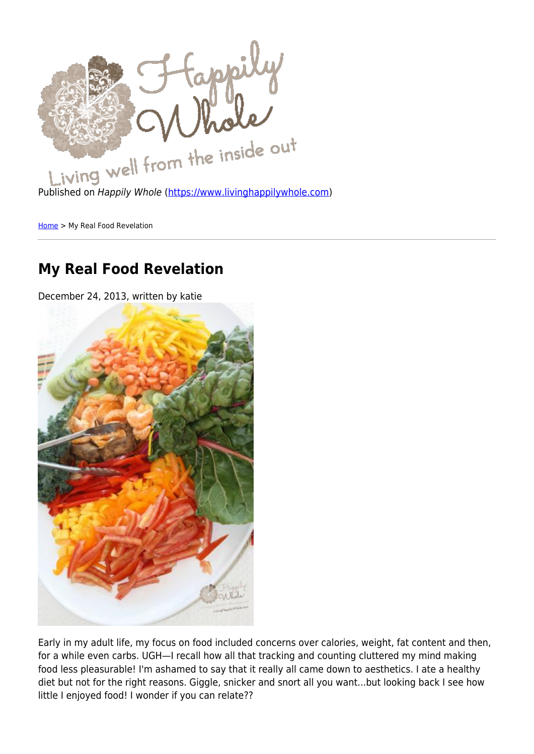

[Home](https://www.livinghappilywhole.com/) > My Real Food Revelation

## **My Real Food Revelation**

December 24, 2013, written by katie



Early in my adult life, my focus on food included concerns over calories, weight, fat content and then, for a while even carbs. UGH—I recall how all that tracking and counting cluttered my mind making food less pleasurable! I'm ashamed to say that it really all came down to aesthetics. I ate a healthy diet but not for the right reasons. Giggle, snicker and snort all you want...but looking back I see how little I enjoyed food! I wonder if you can relate??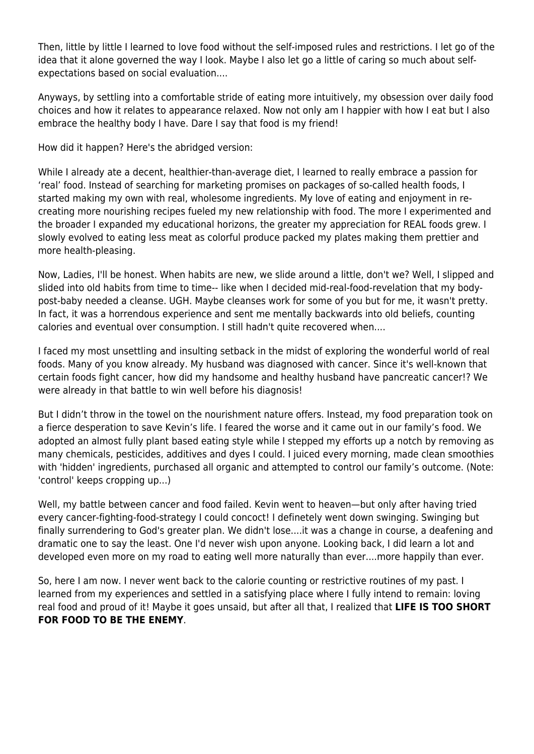Then, little by little I learned to love food without the self-imposed rules and restrictions. I let go of the idea that it alone governed the way I look. Maybe I also let go a little of caring so much about selfexpectations based on social evaluation....

Anyways, by settling into a comfortable stride of eating more intuitively, my obsession over daily food choices and how it relates to appearance relaxed. Now not only am I happier with how I eat but I also embrace the healthy body I have. Dare I say that food is my friend!

How did it happen? Here's the abridged version:

While I already ate a decent, healthier-than-average diet, I learned to really embrace a passion for 'real' food. Instead of searching for marketing promises on packages of so-called health foods, I started making my own with real, wholesome ingredients. My love of eating and enjoyment in recreating more nourishing recipes fueled my new relationship with food. The more I experimented and the broader I expanded my educational horizons, the greater my appreciation for REAL foods grew. I slowly evolved to eating less meat as colorful produce packed my plates making them prettier and more health-pleasing.

Now, Ladies, I'll be honest. When habits are new, we slide around a little, don't we? Well, I slipped and slided into old habits from time to time-- like when I decided mid-real-food-revelation that my bodypost-baby needed a cleanse. UGH. Maybe cleanses work for some of you but for me, it wasn't pretty. In fact, it was a horrendous experience and sent me mentally backwards into old beliefs, counting calories and eventual over consumption. I still hadn't quite recovered when....

I faced my most unsettling and insulting setback in the midst of exploring the wonderful world of real foods. Many of you know already. My husband was diagnosed with cancer. Since it's well-known that certain foods fight cancer, how did my handsome and healthy husband have pancreatic cancer!? We were already in that battle to win well before his diagnosis!

But I didn't throw in the towel on the nourishment nature offers. Instead, my food preparation took on a fierce desperation to save Kevin's life. I feared the worse and it came out in our family's food. We adopted an almost fully plant based eating style while I stepped my efforts up a notch by removing as many chemicals, pesticides, additives and dyes I could. I juiced every morning, made clean smoothies with 'hidden' ingredients, purchased all organic and attempted to control our family's outcome. (Note: 'control' keeps cropping up...)

Well, my battle between cancer and food failed. Kevin went to heaven—but only after having tried every cancer-fighting-food-strategy I could concoct! I definetely went down swinging. Swinging but finally surrendering to God's greater plan. We didn't lose....it was a change in course, a deafening and dramatic one to say the least. One I'd never wish upon anyone. Looking back, I did learn a lot and developed even more on my road to eating well more naturally than ever....more happily than ever.

So, here I am now. I never went back to the calorie counting or restrictive routines of my past. I learned from my experiences and settled in a satisfying place where I fully intend to remain: loving real food and proud of it! Maybe it goes unsaid, but after all that, I realized that **LIFE IS TOO SHORT FOR FOOD TO BE THE ENEMY**.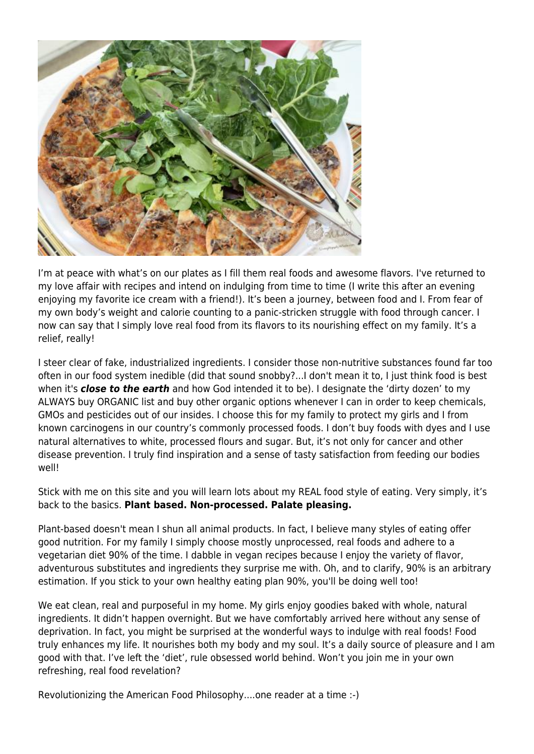

I'm at peace with what's on our plates as I fill them real foods and awesome flavors. I've returned to my love affair with recipes and intend on indulging from time to time (I write this after an evening enjoying my favorite ice cream with a friend!). It's been a journey, between food and I. From fear of my own body's weight and calorie counting to a panic-stricken struggle with food through cancer. I now can say that I simply love real food from its flavors to its nourishing effect on my family. It's a relief, really!

I steer clear of fake, industrialized ingredients. I consider those non-nutritive substances found far too often in our food system inedible (did that sound snobby?...I don't mean it to, I just think food is best when it's *close to the earth* and how God intended it to be). I designate the 'dirty dozen' to my ALWAYS buy ORGANIC list and buy other organic options whenever I can in order to keep chemicals, GMOs and pesticides out of our insides. I choose this for my family to protect my girls and I from known carcinogens in our country's commonly processed foods. I don't buy foods with dyes and I use natural alternatives to white, processed flours and sugar. But, it's not only for cancer and other disease prevention. I truly find inspiration and a sense of tasty satisfaction from feeding our bodies well!

Stick with me on this site and you will learn lots about my REAL food style of eating. Very simply, it's back to the basics. **Plant based. Non-processed. Palate pleasing.**

Plant-based doesn't mean I shun all animal products. In fact, I believe many styles of eating offer good nutrition. For my family I simply choose mostly unprocessed, real foods and adhere to a vegetarian diet 90% of the time. I dabble in vegan recipes because I enjoy the variety of flavor, adventurous substitutes and ingredients they surprise me with. Oh, and to clarify, 90% is an arbitrary estimation. If you stick to your own healthy eating plan 90%, you'll be doing well too!

We eat clean, real and purposeful in my home. My girls enjoy goodies baked with whole, natural ingredients. It didn't happen overnight. But we have comfortably arrived here without any sense of deprivation. In fact, you might be surprised at the wonderful ways to indulge with real foods! Food truly enhances my life. It nourishes both my body and my soul. It's a daily source of pleasure and I am good with that. I've left the 'diet', rule obsessed world behind. Won't you join me in your own refreshing, real food revelation?

Revolutionizing the American Food Philosophy....one reader at a time :-)